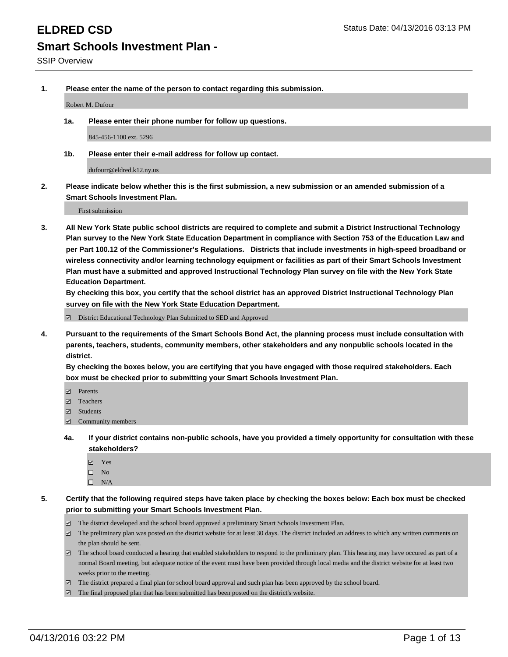**1. Please enter the name of the person to contact regarding this submission.**

Robert M. Dufour

**1a. Please enter their phone number for follow up questions.**

845-456-1100 ext. 5296

**1b. Please enter their e-mail address for follow up contact.**

dufourr@eldred.k12.ny.us

**2. Please indicate below whether this is the first submission, a new submission or an amended submission of a Smart Schools Investment Plan.**

First submission

**3. All New York State public school districts are required to complete and submit a District Instructional Technology Plan survey to the New York State Education Department in compliance with Section 753 of the Education Law and per Part 100.12 of the Commissioner's Regulations. Districts that include investments in high-speed broadband or wireless connectivity and/or learning technology equipment or facilities as part of their Smart Schools Investment Plan must have a submitted and approved Instructional Technology Plan survey on file with the New York State Education Department.** 

**By checking this box, you certify that the school district has an approved District Instructional Technology Plan survey on file with the New York State Education Department.**

■ District Educational Technology Plan Submitted to SED and Approved

**4. Pursuant to the requirements of the Smart Schools Bond Act, the planning process must include consultation with parents, teachers, students, community members, other stakeholders and any nonpublic schools located in the district.** 

**By checking the boxes below, you are certifying that you have engaged with those required stakeholders. Each box must be checked prior to submitting your Smart Schools Investment Plan.**

- **Parents**
- □ Teachers
- Students
- $\boxdot$  Community members
- **4a. If your district contains non-public schools, have you provided a timely opportunity for consultation with these stakeholders?**
	- Yes
	- $\square$  No
	- $\Box$  N/A
- **5. Certify that the following required steps have taken place by checking the boxes below: Each box must be checked prior to submitting your Smart Schools Investment Plan.**
	- The district developed and the school board approved a preliminary Smart Schools Investment Plan.
	- The preliminary plan was posted on the district website for at least 30 days. The district included an address to which any written comments on the plan should be sent.
	- $\Box$  The school board conducted a hearing that enabled stakeholders to respond to the preliminary plan. This hearing may have occured as part of a normal Board meeting, but adequate notice of the event must have been provided through local media and the district website for at least two weeks prior to the meeting.
	- The district prepared a final plan for school board approval and such plan has been approved by the school board.
	- The final proposed plan that has been submitted has been posted on the district's website.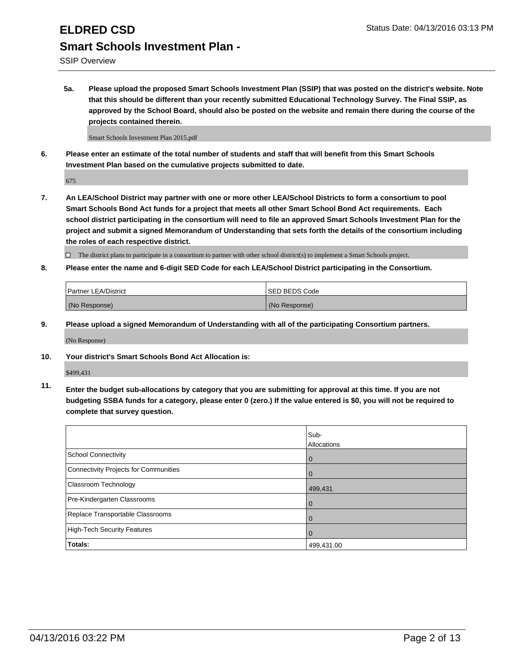# **ELDRED CSD** Status Date: 04/13/2016 03:13 PM **Smart Schools Investment Plan -**

SSIP Overview

**5a. Please upload the proposed Smart Schools Investment Plan (SSIP) that was posted on the district's website. Note that this should be different than your recently submitted Educational Technology Survey. The Final SSIP, as approved by the School Board, should also be posted on the website and remain there during the course of the projects contained therein.**

Smart Schools Investment Plan 2015.pdf

**6. Please enter an estimate of the total number of students and staff that will benefit from this Smart Schools Investment Plan based on the cumulative projects submitted to date.**

675

**7. An LEA/School District may partner with one or more other LEA/School Districts to form a consortium to pool Smart Schools Bond Act funds for a project that meets all other Smart School Bond Act requirements. Each school district participating in the consortium will need to file an approved Smart Schools Investment Plan for the project and submit a signed Memorandum of Understanding that sets forth the details of the consortium including the roles of each respective district.**

 $\Box$  The district plans to participate in a consortium to partner with other school district(s) to implement a Smart Schools project.

**8. Please enter the name and 6-digit SED Code for each LEA/School District participating in the Consortium.**

| Partner LEA/District | <b>ISED BEDS Code</b> |
|----------------------|-----------------------|
| (No Response)        | (No Response)         |

**9. Please upload a signed Memorandum of Understanding with all of the participating Consortium partners.**

(No Response)

**10. Your district's Smart Schools Bond Act Allocation is:**

\$499,431

**11. Enter the budget sub-allocations by category that you are submitting for approval at this time. If you are not budgeting SSBA funds for a category, please enter 0 (zero.) If the value entered is \$0, you will not be required to complete that survey question.**

|                                       | Sub-<br>Allocations |
|---------------------------------------|---------------------|
| <b>School Connectivity</b>            | 0                   |
| Connectivity Projects for Communities | 0                   |
| Classroom Technology                  | 499,431             |
| Pre-Kindergarten Classrooms           | $\Omega$            |
| Replace Transportable Classrooms      | $\Omega$            |
| High-Tech Security Features           | $\Omega$            |
| <b>Totals:</b>                        | 499,431.00          |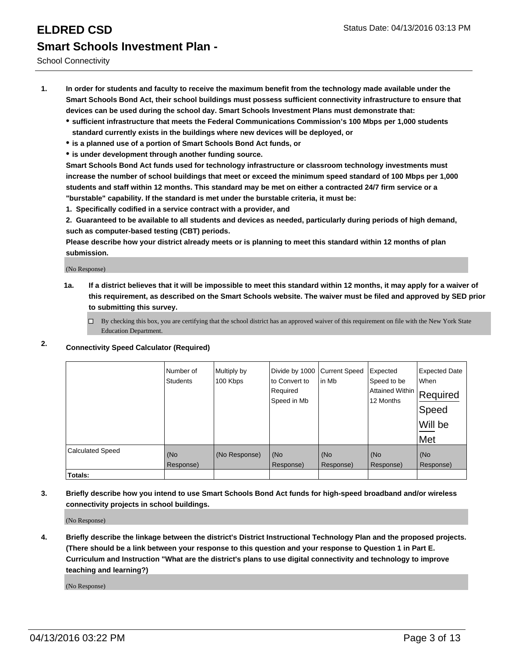School Connectivity

- **1. In order for students and faculty to receive the maximum benefit from the technology made available under the Smart Schools Bond Act, their school buildings must possess sufficient connectivity infrastructure to ensure that devices can be used during the school day. Smart Schools Investment Plans must demonstrate that:**
	- **sufficient infrastructure that meets the Federal Communications Commission's 100 Mbps per 1,000 students standard currently exists in the buildings where new devices will be deployed, or**
	- **is a planned use of a portion of Smart Schools Bond Act funds, or**
	- **is under development through another funding source.**

**Smart Schools Bond Act funds used for technology infrastructure or classroom technology investments must increase the number of school buildings that meet or exceed the minimum speed standard of 100 Mbps per 1,000 students and staff within 12 months. This standard may be met on either a contracted 24/7 firm service or a "burstable" capability. If the standard is met under the burstable criteria, it must be:**

**1. Specifically codified in a service contract with a provider, and**

**2. Guaranteed to be available to all students and devices as needed, particularly during periods of high demand, such as computer-based testing (CBT) periods.**

**Please describe how your district already meets or is planning to meet this standard within 12 months of plan submission.**

(No Response)

- **1a. If a district believes that it will be impossible to meet this standard within 12 months, it may apply for a waiver of this requirement, as described on the Smart Schools website. The waiver must be filed and approved by SED prior to submitting this survey.**
	- □ By checking this box, you are certifying that the school district has an approved waiver of this requirement on file with the New York State Education Department.
- **2. Connectivity Speed Calculator (Required)**

|                         | Number of<br><b>Students</b> | Multiply by<br>100 Kbps | Divide by 1000<br>to Convert to<br>Required<br>Speed in Mb | <b>Current Speed</b><br>in Mb | Expected<br>Speed to be<br>Attained Within<br>12 Months | <b>Expected Date</b><br>When<br>Required<br>Speed<br>Will be<br>Met |
|-------------------------|------------------------------|-------------------------|------------------------------------------------------------|-------------------------------|---------------------------------------------------------|---------------------------------------------------------------------|
| <b>Calculated Speed</b> | (No<br>Response)             | (No Response)           | (No<br>Response)                                           | (No<br>Response)              | (No<br>Response)                                        | (No<br>Response)                                                    |
| Totals:                 |                              |                         |                                                            |                               |                                                         |                                                                     |

**3. Briefly describe how you intend to use Smart Schools Bond Act funds for high-speed broadband and/or wireless connectivity projects in school buildings.**

(No Response)

**4. Briefly describe the linkage between the district's District Instructional Technology Plan and the proposed projects. (There should be a link between your response to this question and your response to Question 1 in Part E. Curriculum and Instruction "What are the district's plans to use digital connectivity and technology to improve teaching and learning?)**

(No Response)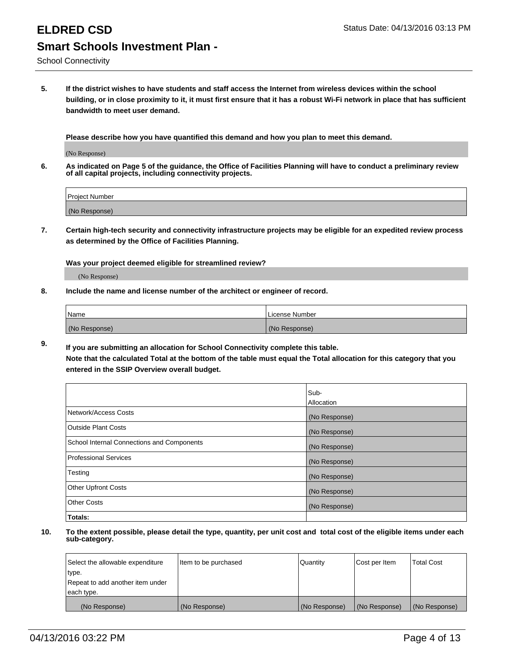**5. If the district wishes to have students and staff access the Internet from wireless devices within the school building, or in close proximity to it, it must first ensure that it has a robust Wi-Fi network in place that has sufficient bandwidth to meet user demand.**

**Please describe how you have quantified this demand and how you plan to meet this demand.**

(No Response)

**6. As indicated on Page 5 of the guidance, the Office of Facilities Planning will have to conduct a preliminary review of all capital projects, including connectivity projects.**

| <b>Project Number</b> |  |
|-----------------------|--|
| (No Response)         |  |

**7. Certain high-tech security and connectivity infrastructure projects may be eligible for an expedited review process as determined by the Office of Facilities Planning.**

**Was your project deemed eligible for streamlined review?**

(No Response)

**8. Include the name and license number of the architect or engineer of record.**

| Name          | License Number |
|---------------|----------------|
| (No Response) | (No Response)  |

**9. If you are submitting an allocation for School Connectivity complete this table. Note that the calculated Total at the bottom of the table must equal the Total allocation for this category that you entered in the SSIP Overview overall budget.** 

|                                            | Sub-          |
|--------------------------------------------|---------------|
|                                            | Allocation    |
| Network/Access Costs                       | (No Response) |
| <b>Outside Plant Costs</b>                 | (No Response) |
| School Internal Connections and Components | (No Response) |
| <b>Professional Services</b>               | (No Response) |
| Testing                                    | (No Response) |
| <b>Other Upfront Costs</b>                 | (No Response) |
| <b>Other Costs</b>                         | (No Response) |
| Totals:                                    |               |

| Select the allowable expenditure | Item to be purchased | Quantity      | Cost per Item | <b>Total Cost</b> |
|----------------------------------|----------------------|---------------|---------------|-------------------|
| type.                            |                      |               |               |                   |
| Repeat to add another item under |                      |               |               |                   |
| each type.                       |                      |               |               |                   |
| (No Response)                    | (No Response)        | (No Response) | (No Response) | (No Response)     |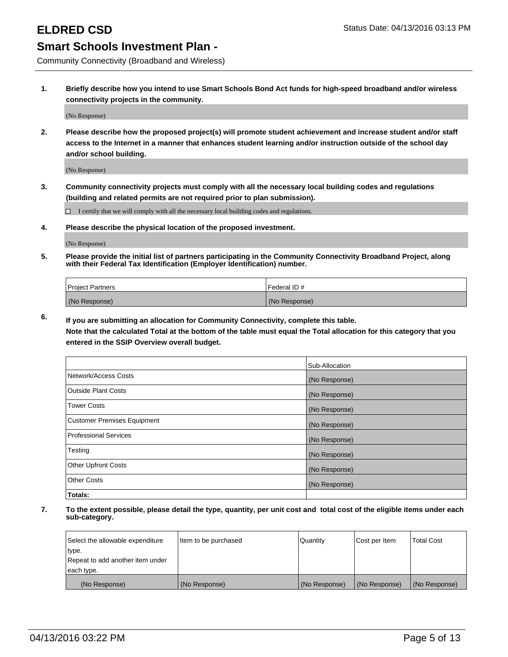Community Connectivity (Broadband and Wireless)

**1. Briefly describe how you intend to use Smart Schools Bond Act funds for high-speed broadband and/or wireless connectivity projects in the community.**

(No Response)

**2. Please describe how the proposed project(s) will promote student achievement and increase student and/or staff access to the Internet in a manner that enhances student learning and/or instruction outside of the school day and/or school building.**

(No Response)

**3. Community connectivity projects must comply with all the necessary local building codes and regulations (building and related permits are not required prior to plan submission).**

 $\Box$  I certify that we will comply with all the necessary local building codes and regulations.

**4. Please describe the physical location of the proposed investment.**

(No Response)

**5. Please provide the initial list of partners participating in the Community Connectivity Broadband Project, along with their Federal Tax Identification (Employer Identification) number.**

| <b>Project Partners</b> | <b>IFederal ID#</b> |
|-------------------------|---------------------|
| (No Response)           | (No Response)       |

**6. If you are submitting an allocation for Community Connectivity, complete this table.**

**Note that the calculated Total at the bottom of the table must equal the Total allocation for this category that you entered in the SSIP Overview overall budget.**

|                                    | Sub-Allocation |
|------------------------------------|----------------|
| Network/Access Costs               | (No Response)  |
| Outside Plant Costs                | (No Response)  |
| <b>Tower Costs</b>                 | (No Response)  |
| <b>Customer Premises Equipment</b> | (No Response)  |
| Professional Services              | (No Response)  |
| Testing                            | (No Response)  |
| <b>Other Upfront Costs</b>         | (No Response)  |
| Other Costs                        | (No Response)  |
| Totals:                            |                |

| Select the allowable expenditure | Item to be purchased | Quantity      | Cost per Item | <b>Total Cost</b> |
|----------------------------------|----------------------|---------------|---------------|-------------------|
| type.                            |                      |               |               |                   |
| Repeat to add another item under |                      |               |               |                   |
| each type.                       |                      |               |               |                   |
| (No Response)                    | (No Response)        | (No Response) | (No Response) | (No Response)     |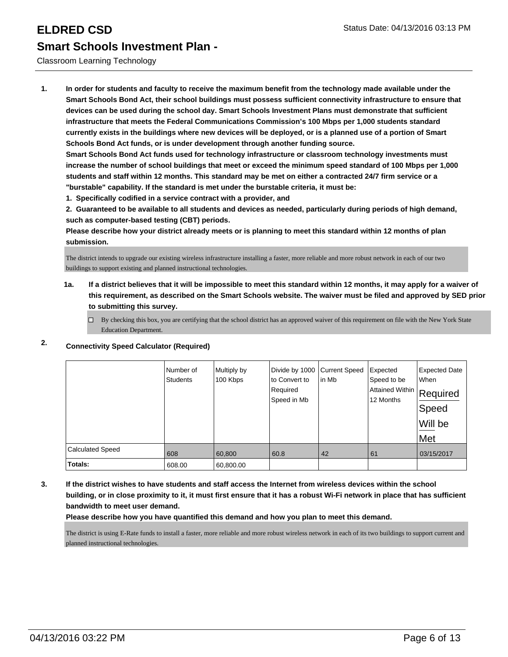### Classroom Learning Technology

**1. In order for students and faculty to receive the maximum benefit from the technology made available under the Smart Schools Bond Act, their school buildings must possess sufficient connectivity infrastructure to ensure that devices can be used during the school day. Smart Schools Investment Plans must demonstrate that sufficient infrastructure that meets the Federal Communications Commission's 100 Mbps per 1,000 students standard currently exists in the buildings where new devices will be deployed, or is a planned use of a portion of Smart Schools Bond Act funds, or is under development through another funding source.**

**Smart Schools Bond Act funds used for technology infrastructure or classroom technology investments must increase the number of school buildings that meet or exceed the minimum speed standard of 100 Mbps per 1,000 students and staff within 12 months. This standard may be met on either a contracted 24/7 firm service or a "burstable" capability. If the standard is met under the burstable criteria, it must be:**

**1. Specifically codified in a service contract with a provider, and**

**2. Guaranteed to be available to all students and devices as needed, particularly during periods of high demand, such as computer-based testing (CBT) periods.**

**Please describe how your district already meets or is planning to meet this standard within 12 months of plan submission.**

The district intends to upgrade our existing wireless infrastructure installing a faster, more reliable and more robust network in each of our two buildings to support existing and planned instructional technologies.

- **1a. If a district believes that it will be impossible to meet this standard within 12 months, it may apply for a waiver of this requirement, as described on the Smart Schools website. The waiver must be filed and approved by SED prior to submitting this survey.**
	- $\Box$  By checking this box, you are certifying that the school district has an approved waiver of this requirement on file with the New York State Education Department.

|                         | Number of<br><b>Students</b> | Multiply by<br>100 Kbps | Divide by 1000<br>to Convert to<br>Required<br>Speed in Mb | <b>Current Speed</b><br>lin Mb | Expected<br>Speed to be<br>Attained Within  <br>12 Months | <b>Expected Date</b><br>When<br>Required<br> Speed<br>Will be<br>Met |
|-------------------------|------------------------------|-------------------------|------------------------------------------------------------|--------------------------------|-----------------------------------------------------------|----------------------------------------------------------------------|
| <b>Calculated Speed</b> | 608                          | 60,800                  | 60.8                                                       | 42                             | 61                                                        | 03/15/2017                                                           |
| Totals:                 | 608.00                       | 60,800.00               |                                                            |                                |                                                           |                                                                      |

## **2. Connectivity Speed Calculator (Required)**

**3. If the district wishes to have students and staff access the Internet from wireless devices within the school building, or in close proximity to it, it must first ensure that it has a robust Wi-Fi network in place that has sufficient bandwidth to meet user demand.**

**Please describe how you have quantified this demand and how you plan to meet this demand.**

The district is using E-Rate funds to install a faster, more reliable and more robust wireless network in each of its two buildings to support current and planned instructional technologies.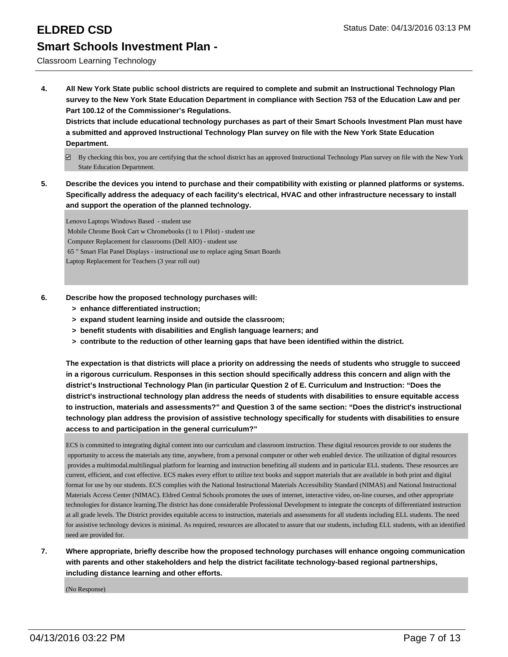### Classroom Learning Technology

**4. All New York State public school districts are required to complete and submit an Instructional Technology Plan survey to the New York State Education Department in compliance with Section 753 of the Education Law and per Part 100.12 of the Commissioner's Regulations.**

**Districts that include educational technology purchases as part of their Smart Schools Investment Plan must have a submitted and approved Instructional Technology Plan survey on file with the New York State Education Department.**

- $\boxtimes$  By checking this box, you are certifying that the school district has an approved Instructional Technology Plan survey on file with the New York State Education Department.
- **5. Describe the devices you intend to purchase and their compatibility with existing or planned platforms or systems. Specifically address the adequacy of each facility's electrical, HVAC and other infrastructure necessary to install and support the operation of the planned technology.**

Lenovo Laptops Windows Based - student use Mobile Chrome Book Cart w Chromebooks (1 to 1 Pilot) - student use Computer Replacement for classrooms (Dell AIO) - student use 65 " Smart Flat Panel Displays - instructional use to replace aging Smart Boards Laptop Replacement for Teachers (3 year roll out)

- **6. Describe how the proposed technology purchases will:**
	- **> enhance differentiated instruction;**
	- **> expand student learning inside and outside the classroom;**
	- **> benefit students with disabilities and English language learners; and**
	- **> contribute to the reduction of other learning gaps that have been identified within the district.**

**The expectation is that districts will place a priority on addressing the needs of students who struggle to succeed in a rigorous curriculum. Responses in this section should specifically address this concern and align with the district's Instructional Technology Plan (in particular Question 2 of E. Curriculum and Instruction: "Does the district's instructional technology plan address the needs of students with disabilities to ensure equitable access to instruction, materials and assessments?" and Question 3 of the same section: "Does the district's instructional technology plan address the provision of assistive technology specifically for students with disabilities to ensure access to and participation in the general curriculum?"**

ECS is committed to integrating digital content into our curriculum and classroom instruction. These digital resources provide to our students the opportunity to access the materials any time, anywhere, from a personal computer or other web enabled device. The utilization of digital resources provides a multimodal.multilingual platform for learning and instruction benefiting all students and in particular ELL students. These resources are current, efficient, and cost effective. ECS makes every effort to utilize text books and support materials that are available in both print and digital format for use by our students. ECS complies with the National Instructional Materials Accessibility Standard (NIMAS) and National Instructional Materials Access Center (NIMAC). Eldred Central Schools promotes the uses of internet, interactive video, on-line courses, and other appropriate technologies for distance learning.The district has done considerable Professional Development to integrate the concepts of differentiated instruction at all grade levels. The District provides equitable access to instruction, materials and assessments for all students including ELL students. The need for assistive technology devices is minimal. As required, resources are allocated to assure that our students, including ELL students, with an identified need are provided for.

**7. Where appropriate, briefly describe how the proposed technology purchases will enhance ongoing communication with parents and other stakeholders and help the district facilitate technology-based regional partnerships, including distance learning and other efforts.**

(No Response)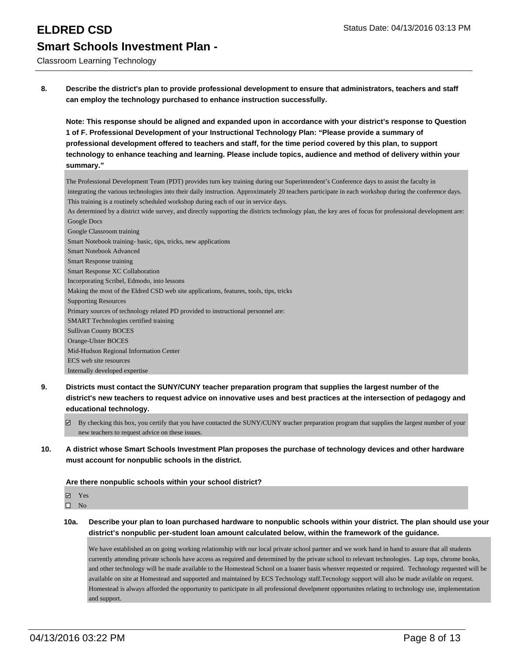# **ELDRED CSD** Status Date: 04/13/2016 03:13 PM **Smart Schools Investment Plan -**

Classroom Learning Technology

**8. Describe the district's plan to provide professional development to ensure that administrators, teachers and staff can employ the technology purchased to enhance instruction successfully.**

**Note: This response should be aligned and expanded upon in accordance with your district's response to Question 1 of F. Professional Development of your Instructional Technology Plan: "Please provide a summary of professional development offered to teachers and staff, for the time period covered by this plan, to support technology to enhance teaching and learning. Please include topics, audience and method of delivery within your summary."**

The Professional Development Team (PDT) provides turn key training during our Superintendent's Conference days to assist the faculty in integrating the various technologies into their daily instruction. Approximately 20 teachers participate in each workshop during the conference days. This training is a routinely scheduled workshop during each of our in service days. As determined by a district wide survey, and directly supporting the districts technology plan, the key ares of focus for professional development are: Google Docs Google Classroom training Smart Notebook training- basic, tips, tricks, new applications Smart Notebook Advanced Smart Response training Smart Response XC Collaboration Incorporating Scribel, Edmodo, into lessons Making the most of the Eldred CSD web site applications, features, tools, tips, tricks Supporting Resources Primary sources of technology related PD provided to instructional personnel are: SMART Technologies certified training Sullivan County BOCES Orange-Ulster BOCES Mid-Hudson Regional Information Center ECS web site resources Internally developed expertise

- **9. Districts must contact the SUNY/CUNY teacher preparation program that supplies the largest number of the district's new teachers to request advice on innovative uses and best practices at the intersection of pedagogy and educational technology.**
	- By checking this box, you certify that you have contacted the SUNY/CUNY teacher preparation program that supplies the largest number of your new teachers to request advice on these issues.
- **10. A district whose Smart Schools Investment Plan proposes the purchase of technology devices and other hardware must account for nonpublic schools in the district.**

**Are there nonpublic schools within your school district?**

- Yes
- $\hfill \square$  No
- **10a. Describe your plan to loan purchased hardware to nonpublic schools within your district. The plan should use your district's nonpublic per-student loan amount calculated below, within the framework of the guidance.**

We have established an on going working relationship with our local private school partner and we work hand in hand to assure that all students currently attending private schools have access as required and determined by the private school to relevant technologies. Lap tops, chrome books, and other technology will be made available to the Homestead School on a loaner basis whenver requested or required. Technology requested will be available on site at Homestead and supported and maintained by ECS Technology staff.Tecnology support will also be made avilable on request. Homestead is always afforded the opportunity to participate in all professional develpment opportunites relating to technology use, implementation and support.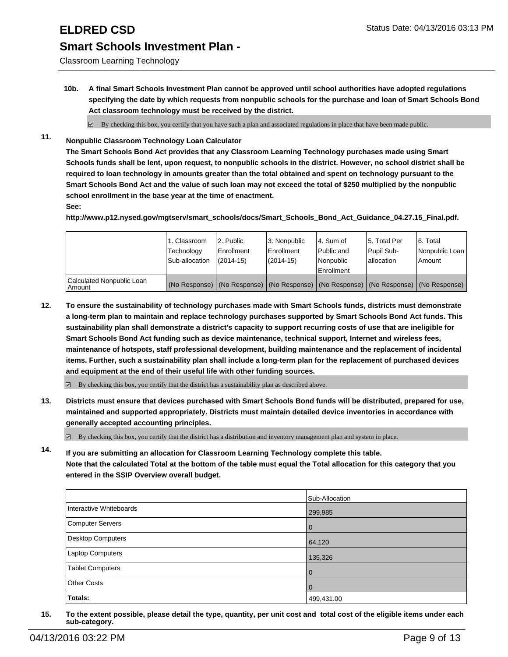### **ELDRED CSD** Status Date: 04/13/2016 03:13 PM

## **Smart Schools Investment Plan -**

Classroom Learning Technology

**10b. A final Smart Schools Investment Plan cannot be approved until school authorities have adopted regulations specifying the date by which requests from nonpublic schools for the purchase and loan of Smart Schools Bond Act classroom technology must be received by the district.**

 $\boxtimes$  By checking this box, you certify that you have such a plan and associated regulations in place that have been made public.

**11. Nonpublic Classroom Technology Loan Calculator**

**The Smart Schools Bond Act provides that any Classroom Learning Technology purchases made using Smart Schools funds shall be lent, upon request, to nonpublic schools in the district. However, no school district shall be required to loan technology in amounts greater than the total obtained and spent on technology pursuant to the Smart Schools Bond Act and the value of such loan may not exceed the total of \$250 multiplied by the nonpublic school enrollment in the base year at the time of enactment.**

**See:**

**http://www.p12.nysed.gov/mgtserv/smart\_schools/docs/Smart\_Schools\_Bond\_Act\_Guidance\_04.27.15\_Final.pdf.**

|                                     | 1. Classroom<br>Technology<br>Sub-allocation | 12. Public<br>l Enrollment<br>$(2014 - 15)$ | 3. Nonpublic<br>Enrollment<br>(2014-15) | l 4. Sum of<br>l Public and<br>l Nonpublic<br><b>Enrollment</b> | 15. Total Per<br>Pupil Sub-<br>I allocation                                                   | 16. Total<br>Nonpublic Loan<br>Amount |
|-------------------------------------|----------------------------------------------|---------------------------------------------|-----------------------------------------|-----------------------------------------------------------------|-----------------------------------------------------------------------------------------------|---------------------------------------|
| Calculated Nonpublic Loan<br>Amount |                                              |                                             |                                         |                                                                 | (No Response)   (No Response)   (No Response)   (No Response)   (No Response)   (No Response) |                                       |

**12. To ensure the sustainability of technology purchases made with Smart Schools funds, districts must demonstrate a long-term plan to maintain and replace technology purchases supported by Smart Schools Bond Act funds. This sustainability plan shall demonstrate a district's capacity to support recurring costs of use that are ineligible for Smart Schools Bond Act funding such as device maintenance, technical support, Internet and wireless fees, maintenance of hotspots, staff professional development, building maintenance and the replacement of incidental items. Further, such a sustainability plan shall include a long-term plan for the replacement of purchased devices and equipment at the end of their useful life with other funding sources.**

 $\boxtimes$  By checking this box, you certify that the district has a sustainability plan as described above.

**13. Districts must ensure that devices purchased with Smart Schools Bond funds will be distributed, prepared for use, maintained and supported appropriately. Districts must maintain detailed device inventories in accordance with generally accepted accounting principles.**

 $\boxtimes$  By checking this box, you certify that the district has a distribution and inventory management plan and system in place.

**14. If you are submitting an allocation for Classroom Learning Technology complete this table. Note that the calculated Total at the bottom of the table must equal the Total allocation for this category that you entered in the SSIP Overview overall budget.**

|                         | Sub-Allocation |
|-------------------------|----------------|
| Interactive Whiteboards | 299,985        |
| Computer Servers        | $\Omega$       |
| Desktop Computers       | 64,120         |
| Laptop Computers        | 135,326        |
| <b>Tablet Computers</b> | $\Omega$       |
| <b>Other Costs</b>      | 0              |
| Totals:                 | 499,431.00     |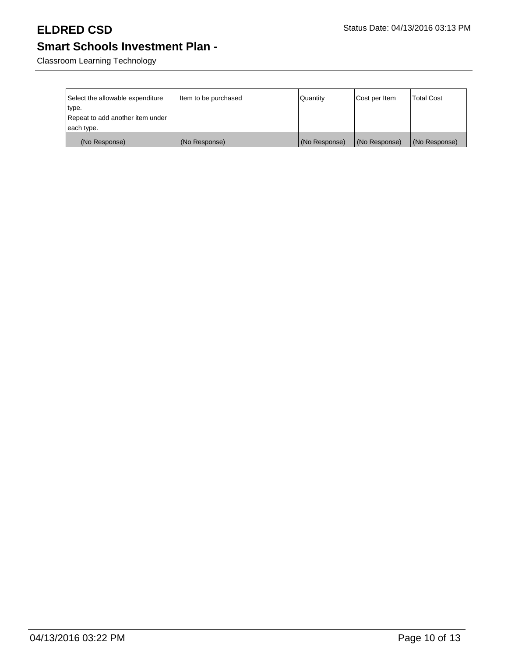Classroom Learning Technology

| Select the allowable expenditure<br>type.<br>Repeat to add another item under | Item to be purchased | Quantity      | Cost per Item | <b>Total Cost</b> |
|-------------------------------------------------------------------------------|----------------------|---------------|---------------|-------------------|
| each type.                                                                    |                      |               |               |                   |
| (No Response)                                                                 | (No Response)        | (No Response) | (No Response) | (No Response)     |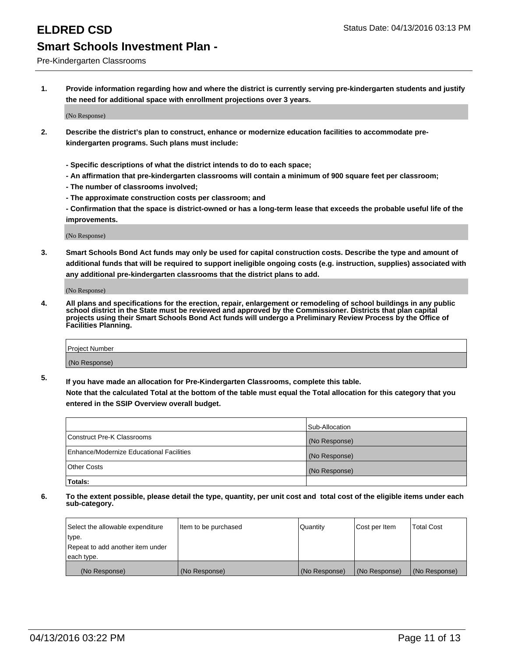Pre-Kindergarten Classrooms

**1. Provide information regarding how and where the district is currently serving pre-kindergarten students and justify the need for additional space with enrollment projections over 3 years.**

(No Response)

- **2. Describe the district's plan to construct, enhance or modernize education facilities to accommodate prekindergarten programs. Such plans must include:**
	- **Specific descriptions of what the district intends to do to each space;**
	- **An affirmation that pre-kindergarten classrooms will contain a minimum of 900 square feet per classroom;**
	- **The number of classrooms involved;**
	- **The approximate construction costs per classroom; and**
	- **Confirmation that the space is district-owned or has a long-term lease that exceeds the probable useful life of the improvements.**

(No Response)

**3. Smart Schools Bond Act funds may only be used for capital construction costs. Describe the type and amount of additional funds that will be required to support ineligible ongoing costs (e.g. instruction, supplies) associated with any additional pre-kindergarten classrooms that the district plans to add.**

(No Response)

**4. All plans and specifications for the erection, repair, enlargement or remodeling of school buildings in any public school district in the State must be reviewed and approved by the Commissioner. Districts that plan capital projects using their Smart Schools Bond Act funds will undergo a Preliminary Review Process by the Office of Facilities Planning.**

| Project Number |  |
|----------------|--|
| (No Response)  |  |

**5. If you have made an allocation for Pre-Kindergarten Classrooms, complete this table. Note that the calculated Total at the bottom of the table must equal the Total allocation for this category that you**

**entered in the SSIP Overview overall budget.**

|                                          | Sub-Allocation |
|------------------------------------------|----------------|
| Construct Pre-K Classrooms               | (No Response)  |
| Enhance/Modernize Educational Facilities | (No Response)  |
| Other Costs                              | (No Response)  |
| Totals:                                  |                |

| Select the allowable expenditure | Item to be purchased | Quantity      | Cost per Item | <b>Total Cost</b> |
|----------------------------------|----------------------|---------------|---------------|-------------------|
| type.                            |                      |               |               |                   |
| Repeat to add another item under |                      |               |               |                   |
| each type.                       |                      |               |               |                   |
| (No Response)                    | (No Response)        | (No Response) | (No Response) | (No Response)     |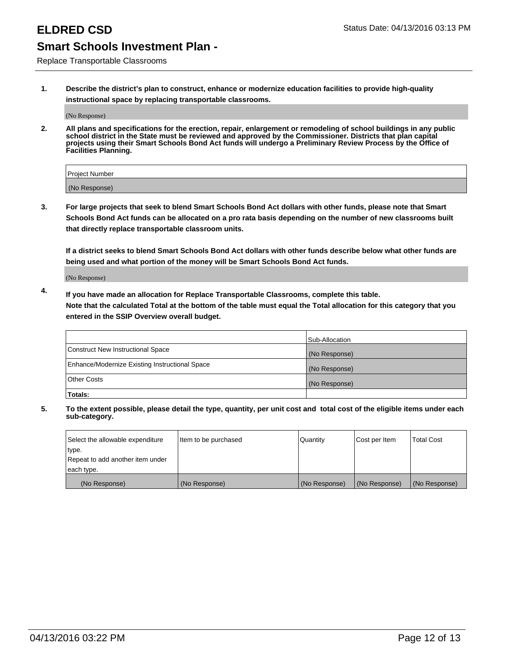Replace Transportable Classrooms

**1. Describe the district's plan to construct, enhance or modernize education facilities to provide high-quality instructional space by replacing transportable classrooms.**

(No Response)

**2. All plans and specifications for the erection, repair, enlargement or remodeling of school buildings in any public school district in the State must be reviewed and approved by the Commissioner. Districts that plan capital projects using their Smart Schools Bond Act funds will undergo a Preliminary Review Process by the Office of Facilities Planning.**

| Project Number |  |
|----------------|--|
| (No Response)  |  |

**3. For large projects that seek to blend Smart Schools Bond Act dollars with other funds, please note that Smart Schools Bond Act funds can be allocated on a pro rata basis depending on the number of new classrooms built that directly replace transportable classroom units.**

**If a district seeks to blend Smart Schools Bond Act dollars with other funds describe below what other funds are being used and what portion of the money will be Smart Schools Bond Act funds.**

(No Response)

**4. If you have made an allocation for Replace Transportable Classrooms, complete this table. Note that the calculated Total at the bottom of the table must equal the Total allocation for this category that you entered in the SSIP Overview overall budget.**

|                                                | Sub-Allocation |
|------------------------------------------------|----------------|
| Construct New Instructional Space              | (No Response)  |
| Enhance/Modernize Existing Instructional Space | (No Response)  |
| <b>Other Costs</b>                             | (No Response)  |
| Totals:                                        |                |

| Select the allowable expenditure | Item to be purchased | Quantity      | Cost per Item | <b>Total Cost</b> |
|----------------------------------|----------------------|---------------|---------------|-------------------|
| type.                            |                      |               |               |                   |
| Repeat to add another item under |                      |               |               |                   |
| each type.                       |                      |               |               |                   |
| (No Response)                    | (No Response)        | (No Response) | (No Response) | (No Response)     |